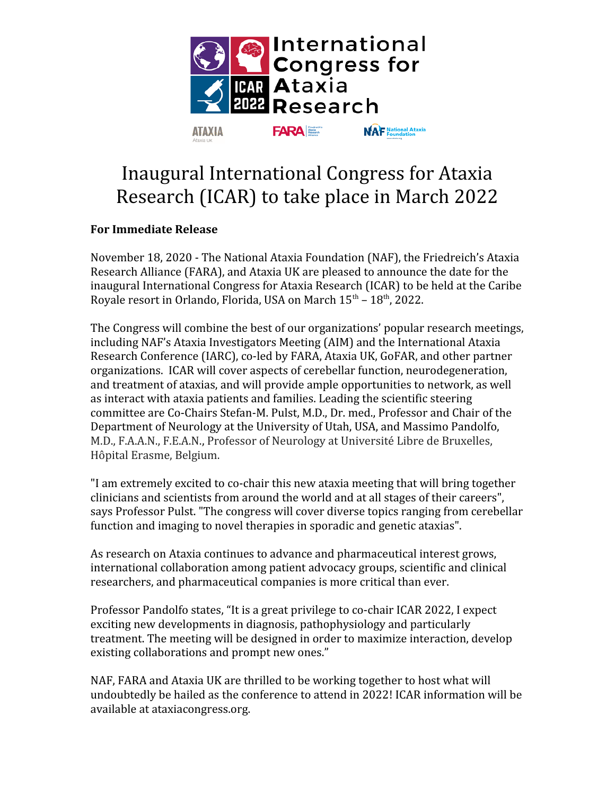

## Inaugural International Congress for Ataxia Research (ICAR) to take place in March 2022

## **For Immediate Release**

November 18, 2020 - The National Ataxia Foundation (NAF), the Friedreich's Ataxia Research Alliance (FARA), and Ataxia UK are pleased to announce the date for the inaugural International Congress for Ataxia Research (ICAR) to be held at the Caribe Royale resort in Orlando, Florida, USA on March  $15<sup>th</sup> - 18<sup>th</sup>$ , 2022.

The Congress will combine the best of our organizations' popular research meetings, including NAF's Ataxia Investigators Meeting (AIM) and the International Ataxia Research Conference (IARC), co-led by FARA, Ataxia UK, GoFAR, and other partner organizations. ICAR will cover aspects of cerebellar function, neurodegeneration, and treatment of ataxias, and will provide ample opportunities to network, as well as interact with ataxia patients and families. Leading the scientific steering committee are Co-Chairs Stefan-M. Pulst, M.D., Dr. med., Professor and Chair of the Department of Neurology at the University of Utah, USA, and Massimo Pandolfo, M.D., F.A.A.N., F.E.A.N., Professor of Neurology at Université Libre de Bruxelles, Hôpital Erasme, Belgium.

"I am extremely excited to co-chair this new ataxia meeting that will bring together clinicians and scientists from around the world and at all stages of their careers", says Professor Pulst. "The congress will cover diverse topics ranging from cerebellar function and imaging to novel therapies in sporadic and genetic ataxias".

As research on Ataxia continues to advance and pharmaceutical interest grows, international collaboration among patient advocacy groups, scientific and clinical researchers, and pharmaceutical companies is more critical than ever.

Professor Pandolfo states, "It is a great privilege to co-chair ICAR 2022, I expect exciting new developments in diagnosis, pathophysiology and particularly treatment. The meeting will be designed in order to maximize interaction, develop existing collaborations and prompt new ones."

NAF, FARA and Ataxia UK are thrilled to be working together to host what will undoubtedly be hailed as the conference to attend in 2022! ICAR information will be available at ataxiacongress.org.